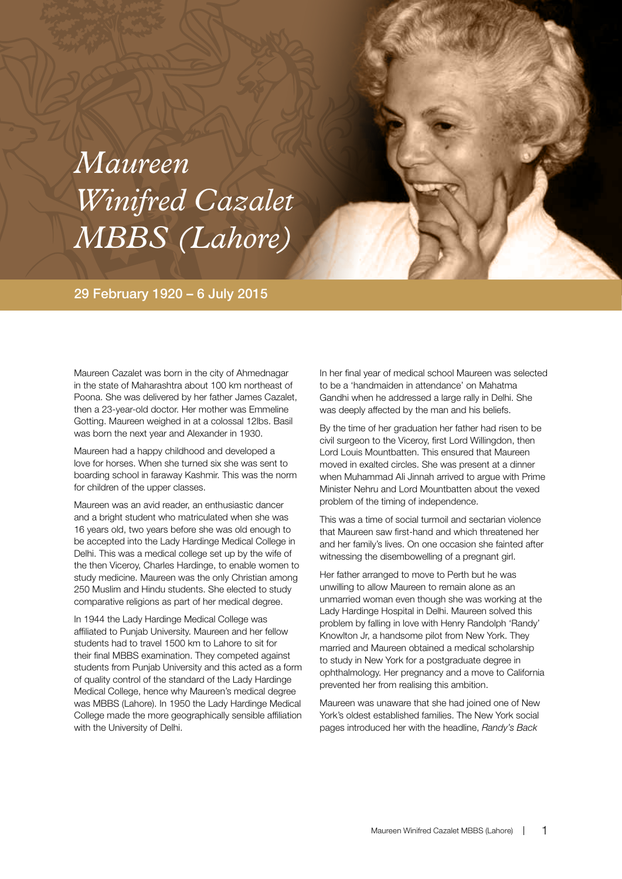## *Maureen Winifred Cazalet MBBS (Lahore)*

## 29 February 1920 – 6 July 2015

Maureen Cazalet was born in the city of Ahmednagar in the state of Maharashtra about 100 km northeast of Poona. She was delivered by her father James Cazalet, then a 23-year-old doctor. Her mother was Emmeline Gotting. Maureen weighed in at a colossal 12lbs. Basil was born the next year and Alexander in 1930.

Maureen had a happy childhood and developed a love for horses. When she turned six she was sent to boarding school in faraway Kashmir. This was the norm for children of the upper classes.

Maureen was an avid reader, an enthusiastic dancer and a bright student who matriculated when she was 16 years old, two years before she was old enough to be accepted into the Lady Hardinge Medical College in Delhi. This was a medical college set up by the wife of the then Viceroy, Charles Hardinge, to enable women to study medicine. Maureen was the only Christian among 250 Muslim and Hindu students. She elected to study comparative religions as part of her medical degree.

In 1944 the Lady Hardinge Medical College was affiliated to Punjab University. Maureen and her fellow students had to travel 1500 km to Lahore to sit for their final MBBS examination. They competed against students from Punjab University and this acted as a form of quality control of the standard of the Lady Hardinge Medical College, hence why Maureen's medical degree was MBBS (Lahore). In 1950 the Lady Hardinge Medical College made the more geographically sensible affiliation with the University of Delhi.

In her final year of medical school Maureen was selected to be a 'handmaiden in attendance' on Mahatma Gandhi when he addressed a large rally in Delhi. She was deeply affected by the man and his beliefs.

By the time of her graduation her father had risen to be civil surgeon to the Viceroy, first Lord Willingdon, then Lord Louis Mountbatten. This ensured that Maureen moved in exalted circles. She was present at a dinner when Muhammad Ali Jinnah arrived to argue with Prime Minister Nehru and Lord Mountbatten about the vexed problem of the timing of independence.

This was a time of social turmoil and sectarian violence that Maureen saw first-hand and which threatened her and her family's lives. On one occasion she fainted after witnessing the disembowelling of a pregnant girl.

Her father arranged to move to Perth but he was unwilling to allow Maureen to remain alone as an unmarried woman even though she was working at the Lady Hardinge Hospital in Delhi. Maureen solved this problem by falling in love with Henry Randolph 'Randy' Knowlton Jr, a handsome pilot from New York. They married and Maureen obtained a medical scholarship to study in New York for a postgraduate degree in ophthalmology. Her pregnancy and a move to California prevented her from realising this ambition.

Maureen was unaware that she had joined one of New York's oldest established families. The New York social pages introduced her with the headline, *Randy's Back*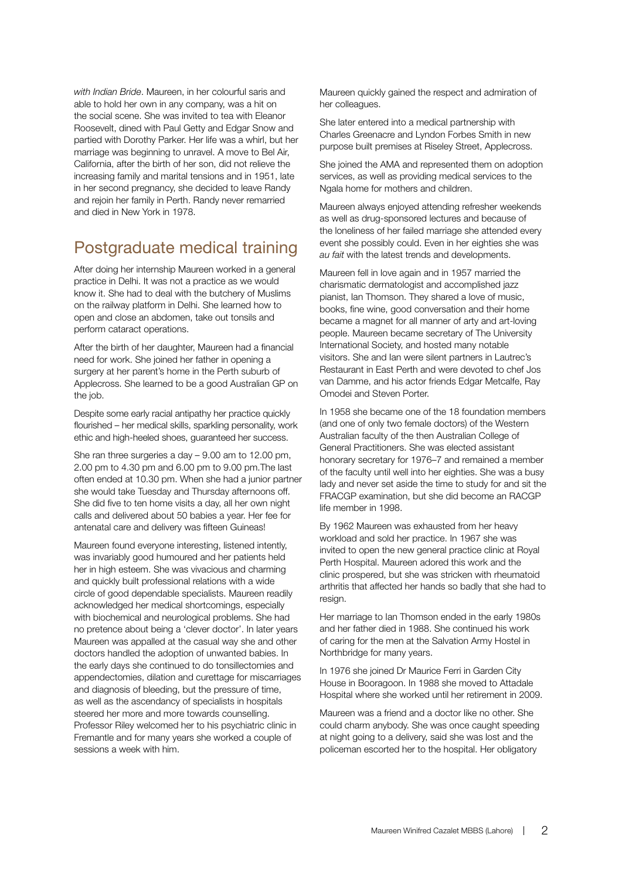*with Indian Bride*. Maureen, in her colourful saris and able to hold her own in any company, was a hit on the social scene. She was invited to tea with Eleanor Roosevelt, dined with Paul Getty and Edgar Snow and partied with Dorothy Parker. Her life was a whirl, but her marriage was beginning to unravel. A move to Bel Air, California, after the birth of her son, did not relieve the increasing family and marital tensions and in 1951, late in her second pregnancy, she decided to leave Randy and rejoin her family in Perth. Randy never remarried and died in New York in 1978.

## Postgraduate medical training

After doing her internship Maureen worked in a general practice in Delhi. It was not a practice as we would know it. She had to deal with the butchery of Muslims on the railway platform in Delhi. She learned how to open and close an abdomen, take out tonsils and perform cataract operations.

After the birth of her daughter, Maureen had a financial need for work. She joined her father in opening a surgery at her parent's home in the Perth suburb of Applecross. She learned to be a good Australian GP on the job.

Despite some early racial antipathy her practice quickly flourished – her medical skills, sparkling personality, work ethic and high-heeled shoes, guaranteed her success.

She ran three surgeries a day – 9.00 am to 12.00 pm, 2.00 pm to 4.30 pm and 6.00 pm to 9.00 pm.The last often ended at 10.30 pm. When she had a junior partner she would take Tuesday and Thursday afternoons off. She did five to ten home visits a day, all her own night calls and delivered about 50 babies a year. Her fee for antenatal care and delivery was fifteen Guineas!

Maureen found everyone interesting, listened intently, was invariably good humoured and her patients held her in high esteem. She was vivacious and charming and quickly built professional relations with a wide circle of good dependable specialists. Maureen readily acknowledged her medical shortcomings, especially with biochemical and neurological problems. She had no pretence about being a 'clever doctor'. In later years Maureen was appalled at the casual way she and other doctors handled the adoption of unwanted babies. In the early days she continued to do tonsillectomies and appendectomies, dilation and curettage for miscarriages and diagnosis of bleeding, but the pressure of time, as well as the ascendancy of specialists in hospitals steered her more and more towards counselling. Professor Riley welcomed her to his psychiatric clinic in Fremantle and for many years she worked a couple of sessions a week with him.

Maureen quickly gained the respect and admiration of her colleagues.

She later entered into a medical partnership with Charles Greenacre and Lyndon Forbes Smith in new purpose built premises at Riseley Street, Applecross.

She joined the AMA and represented them on adoption services, as well as providing medical services to the Ngala home for mothers and children.

Maureen always enjoyed attending refresher weekends as well as drug-sponsored lectures and because of the loneliness of her failed marriage she attended every event she possibly could. Even in her eighties she was *au fait* with the latest trends and developments.

Maureen fell in love again and in 1957 married the charismatic dermatologist and accomplished jazz pianist, Ian Thomson. They shared a love of music, books, fine wine, good conversation and their home became a magnet for all manner of arty and art-loving people. Maureen became secretary of The University International Society, and hosted many notable visitors. She and Ian were silent partners in Lautrec's Restaurant in East Perth and were devoted to chef Jos van Damme, and his actor friends Edgar Metcalfe, Ray Omodei and Steven Porter.

In 1958 she became one of the 18 foundation members (and one of only two female doctors) of the Western Australian faculty of the then Australian College of General Practitioners. She was elected assistant honorary secretary for 1976–7 and remained a member of the faculty until well into her eighties. She was a busy lady and never set aside the time to study for and sit the FRACGP examination, but she did become an RACGP life member in 1998.

By 1962 Maureen was exhausted from her heavy workload and sold her practice. In 1967 she was invited to open the new general practice clinic at Royal Perth Hospital. Maureen adored this work and the clinic prospered, but she was stricken with rheumatoid arthritis that affected her hands so badly that she had to resign.

Her marriage to Ian Thomson ended in the early 1980s and her father died in 1988. She continued his work of caring for the men at the Salvation Army Hostel in Northbridge for many years.

In 1976 she joined Dr Maurice Ferri in Garden City House in Booragoon. In 1988 she moved to Attadale Hospital where she worked until her retirement in 2009.

Maureen was a friend and a doctor like no other. She could charm anybody. She was once caught speeding at night going to a delivery, said she was lost and the policeman escorted her to the hospital. Her obligatory